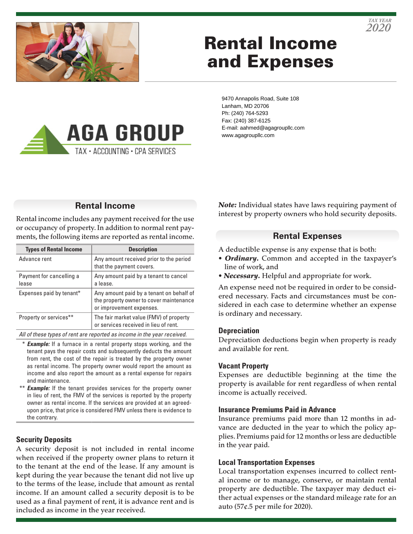



# Rental Income and Expenses

9470 Annapolis Road, Suite 108 Lanham, MD 20706 Ph: (240) 764-5293 Fax: (240) 387-6125 E-mail: aahmed@agagroupllc.com www.agagroupllc.com

# **Rental Income**

**AGA GROUP** 

TAX · ACCOUNTING · CPA SERVICES

Rental income includes any payment received for the use or occupancy of property. In addition to normal rent payments, the following items are reported as rental income.

| <b>Types of Rental Income</b>     | <b>Description</b>                                                                                              |
|-----------------------------------|-----------------------------------------------------------------------------------------------------------------|
| Advance rent                      | Any amount received prior to the period<br>that the payment covers.                                             |
| Payment for cancelling a<br>lease | Any amount paid by a tenant to cancel<br>a lease.                                                               |
| Expenses paid by tenant*          | Any amount paid by a tenant on behalf of<br>the property owner to cover maintenance<br>or improvement expenses. |
| Property or services**            | The fair market value (FMV) of property<br>or services received in lieu of rent.                                |

*All of these types of rent are reported as income in the year received.*

- **Example:** If a furnace in a rental property stops working, and the tenant pays the repair costs and subsequently deducts the amount from rent, the cost of the repair is treated by the property owner as rental income. The property owner would report the amount as income and also report the amount as a rental expense for repairs and maintenance.
- \*\* **Example:** If the tenant provides services for the property owner in lieu of rent, the FMV of the services is reported by the property owner as rental income. If the services are provided at an agreedupon price, that price is considered FMV unless there is evidence to the contrary.

#### **Security Deposits**

A security deposit is not included in rental income when received if the property owner plans to return it to the tenant at the end of the lease. If any amount is kept during the year because the tenant did not live up to the terms of the lease, include that amount as rental income. If an amount called a security deposit is to be used as a final payment of rent, it is advance rent and is included as income in the year received.

*Note:* Individual states have laws requiring payment of interest by property owners who hold security deposits.

## **Rental Expenses**

A deductible expense is any expense that is both:

- *Ordinary.* Common and accepted in the taxpayer's line of work, and
- *Necessary.* Helpful and appropriate for work.

An expense need not be required in order to be considered necessary. Facts and circumstances must be considered in each case to determine whether an expense is ordinary and necessary.

#### **Depreciation**

Depreciation deductions begin when property is ready and available for rent.

#### **Vacant Property**

Expenses are deductible beginning at the time the property is available for rent regardless of when rental income is actually received.

#### **Insurance Premiums Paid in Advance**

Insurance premiums paid more than 12 months in advance are deducted in the year to which the policy applies. Premiums paid for 12 months or less are deductible in the year paid.

#### **Local Transportation Expenses**

Local transportation expenses incurred to collect rental income or to manage, conserve, or maintain rental property are deductible. The taxpayer may deduct either actual expenses or the standard mileage rate for an auto (57¢.5 per mile for 2020).